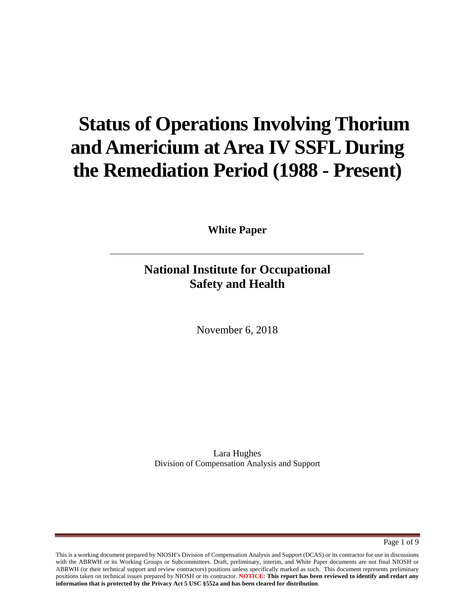# **Status of Operations Involving Thorium and Americium at Area IV SSFL During the Remediation Period (1988 - Present)**

**White Paper**

## **National Institute for Occupational Safety and Health**

November 6, 2018

Lara Hughes Division of Compensation Analysis and Support

Page 1 of 9

This is a working document prepared by NIOSH's Division of Compensation Analysis and Support (DCAS) or its contractor for use in discussions with the ABRWH or its Working Groups or Subcommittees. Draft, preliminary, interim, and White Paper documents are not final NIOSH or ABRWH (or their technical support and review contractors) positions unless specifically marked as such. This document represents preliminary positions taken on technical issues prepared by NIOSH or its contractor. **NOTICE: This report has been reviewed to identify and redact any information that is protected by the Privacy Act 5 USC §552a and has been cleared for distribution**.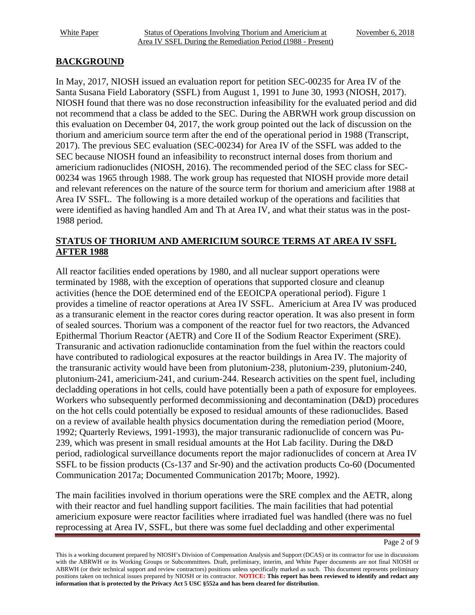#### **BACKGROUND**

In May, 2017, NIOSH issued an evaluation report for petition SEC-00235 for Area IV of the Santa Susana Field Laboratory (SSFL) from August 1, 1991 to June 30, 1993 (NIOSH, 2017). NIOSH found that there was no dose reconstruction infeasibility for the evaluated period and did not recommend that a class be added to the SEC. During the ABRWH work group discussion on this evaluation on December 04, 2017, the work group pointed out the lack of discussion on the thorium and americium source term after the end of the operational period in 1988 (Transcript, 2017). The previous SEC evaluation (SEC-00234) for Area IV of the SSFL was added to the SEC because NIOSH found an infeasibility to reconstruct internal doses from thorium and americium radionuclides (NIOSH, 2016). The recommended period of the SEC class for SEC-00234 was 1965 through 1988. The work group has requested that NIOSH provide more detail and relevant references on the nature of the source term for thorium and americium after 1988 at Area IV SSFL. The following is a more detailed workup of the operations and facilities that were identified as having handled Am and Th at Area IV, and what their status was in the post-1988 period.

#### **STATUS OF THORIUM AND AMERICIUM SOURCE TERMS AT AREA IV SSFL AFTER 1988**

All reactor facilities ended operations by 1980, and all nuclear support operations were terminated by 1988, with the exception of operations that supported closure and cleanup activities (hence the DOE determined end of the EEOICPA operational period). Figure 1 provides a timeline of reactor operations at Area IV SSFL. Americium at Area IV was produced as a transuranic element in the reactor cores during reactor operation. It was also present in form of sealed sources. Thorium was a component of the reactor fuel for two reactors, the Advanced Epithermal Thorium Reactor (AETR) and Core II of the Sodium Reactor Experiment (SRE). Transuranic and activation radionuclide contamination from the fuel within the reactors could have contributed to radiological exposures at the reactor buildings in Area IV. The majority of the transuranic activity would have been from plutonium-238, plutonium-239, plutonium-240, plutonium-241, americium-241, and curium-244. Research activities on the spent fuel, including decladding operations in hot cells, could have potentially been a path of exposure for employees. Workers who subsequently performed decommissioning and decontamination (D&D) procedures on the hot cells could potentially be exposed to residual amounts of these radionuclides. Based on a review of available health physics documentation during the remediation period (Moore, 1992; Quarterly Reviews, 1991-1993), the major transuranic radionuclide of concern was Pu-239, which was present in small residual amounts at the Hot Lab facility. During the D&D period, radiological surveillance documents report the major radionuclides of concern at Area IV SSFL to be fission products (Cs-137 and Sr-90) and the activation products Co-60 (Documented Communication 2017a; Documented Communication 2017b; Moore, 1992).

The main facilities involved in thorium operations were the SRE complex and the AETR, along with their reactor and fuel handling support facilities. The main facilities that had potential americium exposure were reactor facilities where irradiated fuel was handled (there was no fuel reprocessing at Area IV, SSFL, but there was some fuel decladding and other experimental

Page 2 of 9

This is a working document prepared by NIOSH's Division of Compensation Analysis and Support (DCAS) or its contractor for use in discussions with the ABRWH or its Working Groups or Subcommittees. Draft, preliminary, interim, and White Paper documents are not final NIOSH or ABRWH (or their technical support and review contractors) positions unless specifically marked as such. This document represents preliminary positions taken on technical issues prepared by NIOSH or its contractor. **NOTICE: This report has been reviewed to identify and redact any information that is protected by the Privacy Act 5 USC §552a and has been cleared for distribution**.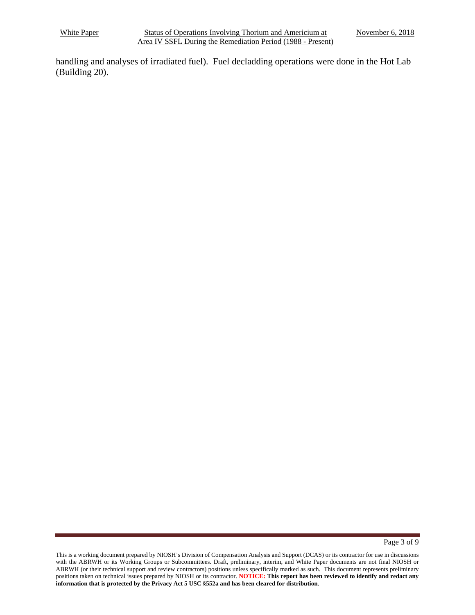handling and analyses of irradiated fuel). Fuel decladding operations were done in the Hot Lab (Building 20).

Page 3 of 9

This is a working document prepared by NIOSH's Division of Compensation Analysis and Support (DCAS) or its contractor for use in discussions with the ABRWH or its Working Groups or Subcommittees. Draft, preliminary, interim, and White Paper documents are not final NIOSH or ABRWH (or their technical support and review contractors) positions unless specifically marked as such. This document represents preliminary positions taken on technical issues prepared by NIOSH or its contractor. **NOTICE: This report has been reviewed to identify and redact any information that is protected by the Privacy Act 5 USC §552a and has been cleared for distribution**.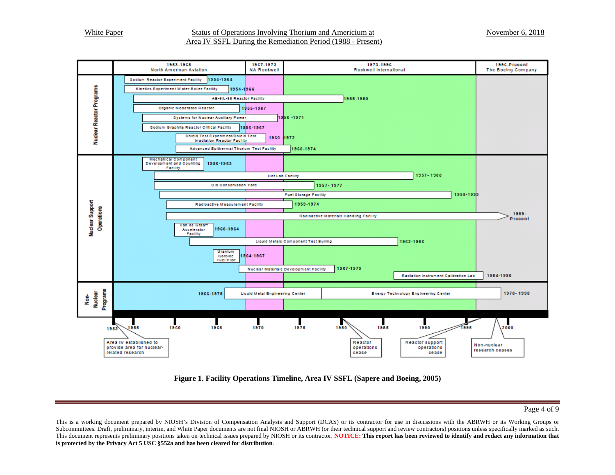

**Figure 1. Facility Operations Timeline, Area IV SSFL (Sapere and Boeing, 2005)**

#### Page 4 of 9

This is a working document prepared by NIOSH's Division of Compensation Analysis and Support (DCAS) or its contractor for use in discussions with the ABRWH or its Working Groups or Subcommittees. Draft, preliminary, interim, and White Paper documents are not final NIOSH or ABRWH (or their technical support and review contractors) positions unless specifically marked as such. This document represents preliminary positions taken on technical issues prepared by NIOSH or its contractor. **NOTICE: This report has been reviewed to identify and redact any information that is protected by the Privacy Act 5 USC §552a and has been cleared for distribution**.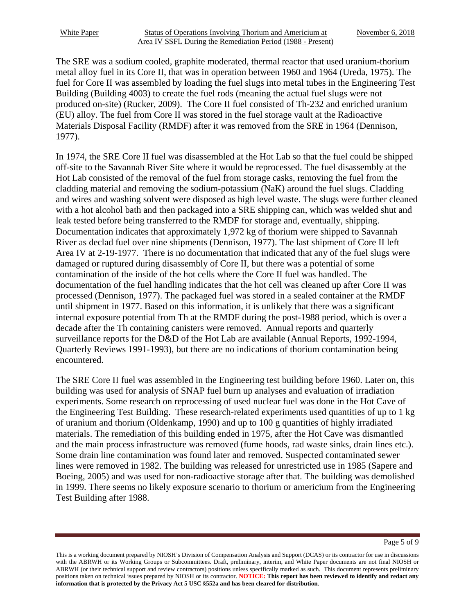The SRE was a sodium cooled, graphite moderated, thermal reactor that used uranium-thorium metal alloy fuel in its Core II, that was in operation between 1960 and 1964 (Ureda, 1975). The fuel for Core II was assembled by loading the fuel slugs into metal tubes in the Engineering Test Building (Building 4003) to create the fuel rods (meaning the actual fuel slugs were not produced on-site) (Rucker, 2009). The Core II fuel consisted of Th-232 and enriched uranium (EU) alloy. The fuel from Core II was stored in the fuel storage vault at the Radioactive Materials Disposal Facility (RMDF) after it was removed from the SRE in 1964 (Dennison, 1977).

In 1974, the SRE Core II fuel was disassembled at the Hot Lab so that the fuel could be shipped off-site to the Savannah River Site where it would be reprocessed. The fuel disassembly at the Hot Lab consisted of the removal of the fuel from storage casks, removing the fuel from the cladding material and removing the sodium-potassium (NaK) around the fuel slugs. Cladding and wires and washing solvent were disposed as high level waste. The slugs were further cleaned with a hot alcohol bath and then packaged into a SRE shipping can, which was welded shut and leak tested before being transferred to the RMDF for storage and, eventually, shipping. Documentation indicates that approximately 1,972 kg of thorium were shipped to Savannah River as declad fuel over nine shipments (Dennison, 1977). The last shipment of Core II left Area IV at 2-19-1977. There is no documentation that indicated that any of the fuel slugs were damaged or ruptured during disassembly of Core II, but there was a potential of some contamination of the inside of the hot cells where the Core II fuel was handled. The documentation of the fuel handling indicates that the hot cell was cleaned up after Core II was processed (Dennison, 1977). The packaged fuel was stored in a sealed container at the RMDF until shipment in 1977. Based on this information, it is unlikely that there was a significant internal exposure potential from Th at the RMDF during the post-1988 period, which is over a decade after the Th containing canisters were removed. Annual reports and quarterly surveillance reports for the D&D of the Hot Lab are available (Annual Reports, 1992-1994, Quarterly Reviews 1991-1993), but there are no indications of thorium contamination being encountered.

The SRE Core II fuel was assembled in the Engineering test building before 1960. Later on, this building was used for analysis of SNAP fuel burn up analyses and evaluation of irradiation experiments. Some research on reprocessing of used nuclear fuel was done in the Hot Cave of the Engineering Test Building. These research-related experiments used quantities of up to 1 kg of uranium and thorium (Oldenkamp, 1990) and up to 100 g quantities of highly irradiated materials. The remediation of this building ended in 1975, after the Hot Cave was dismantled and the main process infrastructure was removed (fume hoods, rad waste sinks, drain lines etc.). Some drain line contamination was found later and removed. Suspected contaminated sewer lines were removed in 1982. The building was released for unrestricted use in 1985 (Sapere and Boeing, 2005) and was used for non-radioactive storage after that. The building was demolished in 1999. There seems no likely exposure scenario to thorium or americium from the Engineering Test Building after 1988.

This is a working document prepared by NIOSH's Division of Compensation Analysis and Support (DCAS) or its contractor for use in discussions with the ABRWH or its Working Groups or Subcommittees. Draft, preliminary, interim, and White Paper documents are not final NIOSH or ABRWH (or their technical support and review contractors) positions unless specifically marked as such. This document represents preliminary positions taken on technical issues prepared by NIOSH or its contractor. **NOTICE: This report has been reviewed to identify and redact any information that is protected by the Privacy Act 5 USC §552a and has been cleared for distribution**.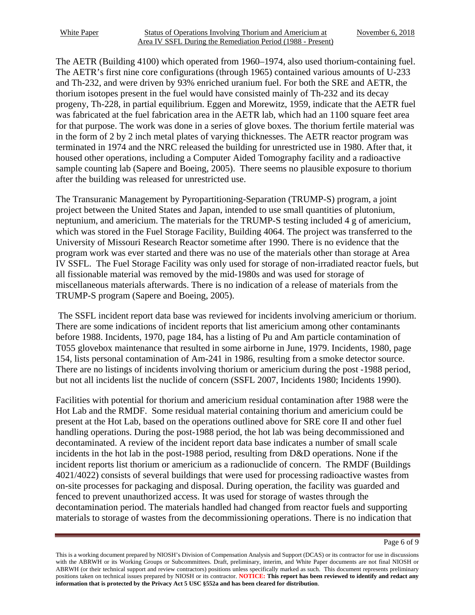The AETR (Building 4100) which operated from 1960–1974, also used thorium-containing fuel. The AETR's first nine core configurations (through 1965) contained various amounts of U-233 and Th-232, and were driven by 93% enriched uranium fuel. For both the SRE and AETR, the thorium isotopes present in the fuel would have consisted mainly of Th-232 and its decay progeny, Th-228, in partial equilibrium. Eggen and Morewitz, 1959, indicate that the AETR fuel was fabricated at the fuel fabrication area in the AETR lab, which had an 1100 square feet area for that purpose. The work was done in a series of glove boxes. The thorium fertile material was in the form of 2 by 2 inch metal plates of varying thicknesses. The AETR reactor program was terminated in 1974 and the NRC released the building for unrestricted use in 1980. After that, it housed other operations, including a Computer Aided Tomography facility and a radioactive sample counting lab (Sapere and Boeing, 2005). There seems no plausible exposure to thorium after the building was released for unrestricted use.

The Transuranic Management by Pyropartitioning-Separation (TRUMP-S) program, a joint project between the United States and Japan, intended to use small quantities of plutonium, neptunium, and americium. The materials for the TRUMP-S testing included 4 g of americium, which was stored in the Fuel Storage Facility, Building 4064. The project was transferred to the University of Missouri Research Reactor sometime after 1990. There is no evidence that the program work was ever started and there was no use of the materials other than storage at Area IV SSFL. The Fuel Storage Facility was only used for storage of non-irradiated reactor fuels, but all fissionable material was removed by the mid-1980s and was used for storage of miscellaneous materials afterwards. There is no indication of a release of materials from the TRUMP-S program (Sapere and Boeing, 2005).

The SSFL incident report data base was reviewed for incidents involving americium or thorium. There are some indications of incident reports that list americium among other contaminants before 1988. Incidents, 1970, page 184, has a listing of Pu and Am particle contamination of T055 glovebox maintenance that resulted in some airborne in June, 1979. Incidents, 1980, page 154, lists personal contamination of Am-241 in 1986, resulting from a smoke detector source. There are no listings of incidents involving thorium or americium during the post -1988 period, but not all incidents list the nuclide of concern (SSFL 2007, Incidents 1980; Incidents 1990).

Facilities with potential for thorium and americium residual contamination after 1988 were the Hot Lab and the RMDF. Some residual material containing thorium and americium could be present at the Hot Lab, based on the operations outlined above for SRE core II and other fuel handling operations. During the post-1988 period, the hot lab was being decommissioned and decontaminated. A review of the incident report data base indicates a number of small scale incidents in the hot lab in the post-1988 period, resulting from D&D operations. None if the incident reports list thorium or americium as a radionuclide of concern. The RMDF (Buildings 4021/4022) consists of several buildings that were used for processing radioactive wastes from on-site processes for packaging and disposal. During operation, the facility was guarded and fenced to prevent unauthorized access. It was used for storage of wastes through the decontamination period. The materials handled had changed from reactor fuels and supporting materials to storage of wastes from the decommissioning operations. There is no indication that

Page 6 of 9

This is a working document prepared by NIOSH's Division of Compensation Analysis and Support (DCAS) or its contractor for use in discussions with the ABRWH or its Working Groups or Subcommittees. Draft, preliminary, interim, and White Paper documents are not final NIOSH or ABRWH (or their technical support and review contractors) positions unless specifically marked as such. This document represents preliminary positions taken on technical issues prepared by NIOSH or its contractor. **NOTICE: This report has been reviewed to identify and redact any information that is protected by the Privacy Act 5 USC §552a and has been cleared for distribution**.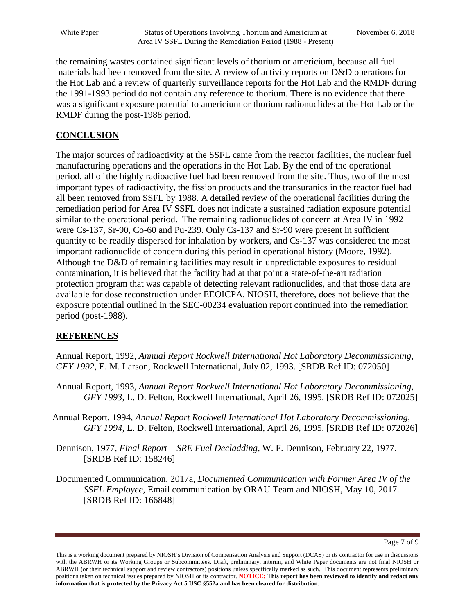the remaining wastes contained significant levels of thorium or americium, because all fuel materials had been removed from the site. A review of activity reports on D&D operations for the Hot Lab and a review of quarterly surveillance reports for the Hot Lab and the RMDF during the 1991-1993 period do not contain any reference to thorium. There is no evidence that there was a significant exposure potential to americium or thorium radionuclides at the Hot Lab or the RMDF during the post-1988 period.

### **CONCLUSION**

The major sources of radioactivity at the SSFL came from the reactor facilities, the nuclear fuel manufacturing operations and the operations in the Hot Lab. By the end of the operational period, all of the highly radioactive fuel had been removed from the site. Thus, two of the most important types of radioactivity, the fission products and the transuranics in the reactor fuel had all been removed from SSFL by 1988. A detailed review of the operational facilities during the remediation period for Area IV SSFL does not indicate a sustained radiation exposure potential similar to the operational period. The remaining radionuclides of concern at Area IV in 1992 were Cs-137, Sr-90, Co-60 and Pu-239. Only Cs-137 and Sr-90 were present in sufficient quantity to be readily dispersed for inhalation by workers, and Cs-137 was considered the most important radionuclide of concern during this period in operational history (Moore, 1992). Although the D&D of remaining facilities may result in unpredictable exposures to residual contamination, it is believed that the facility had at that point a state-of-the-art radiation protection program that was capable of detecting relevant radionuclides, and that those data are available for dose reconstruction under EEOICPA. NIOSH, therefore, does not believe that the exposure potential outlined in the SEC-00234 evaluation report continued into the remediation period (post-1988).

#### **REFERENCES**

Annual Report, 1992, *Annual Report Rockwell International Hot Laboratory Decommissioning, GFY 1992*, E. M. Larson, Rockwell International, July 02, 1993. [SRDB Ref ID: 072050]

- Annual Report, 1993, *Annual Report Rockwell International Hot Laboratory Decommissioning, GFY 1993*, L. D. Felton, Rockwell International, April 26, 1995. [SRDB Ref ID: 072025]
- Annual Report, 1994, *Annual Report Rockwell International Hot Laboratory Decommissioning, GFY 1994*, L. D. Felton, Rockwell International, April 26, 1995. [SRDB Ref ID: 072026]
- Dennison, 1977, *Final Report SRE Fuel Decladding*, W. F. Dennison, February 22, 1977. [SRDB Ref ID: 158246]
- Documented Communication, 2017a, *Documented Communication with Former Area IV of the SSFL Employee*, Email communication by ORAU Team and NIOSH, May 10, 2017. [SRDB Ref ID: 166848]

Page 7 of 9

This is a working document prepared by NIOSH's Division of Compensation Analysis and Support (DCAS) or its contractor for use in discussions with the ABRWH or its Working Groups or Subcommittees. Draft, preliminary, interim, and White Paper documents are not final NIOSH or ABRWH (or their technical support and review contractors) positions unless specifically marked as such. This document represents preliminary positions taken on technical issues prepared by NIOSH or its contractor. **NOTICE: This report has been reviewed to identify and redact any information that is protected by the Privacy Act 5 USC §552a and has been cleared for distribution**.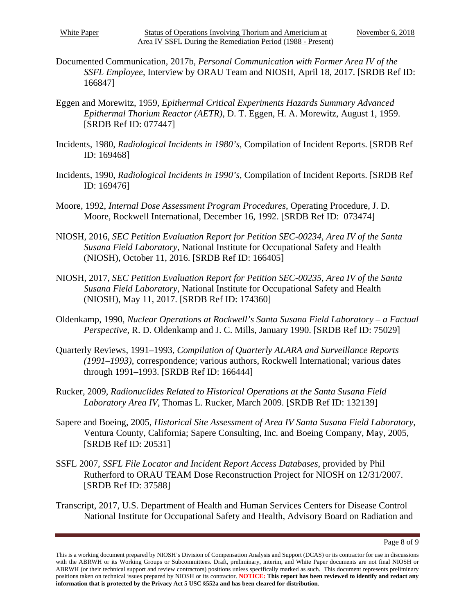- Documented Communication, 2017b*, Personal Communication with Former Area IV of the SSFL Employee*, Interview by ORAU Team and NIOSH, April 18, 2017. [SRDB Ref ID: 166847]
- Eggen and Morewitz, 1959, *Epithermal Critical Experiments Hazards Summary Advanced Epithermal Thorium Reactor (AETR)*, D. T. Eggen, H. A. Morewitz, August 1, 1959. [SRDB Ref ID: 077447]
- Incidents, 1980, *Radiological Incidents in 1980's*, Compilation of Incident Reports. [SRDB Ref ID: 169468]
- Incidents, 1990, *Radiological Incidents in 1990's*, Compilation of Incident Reports. [SRDB Ref ID: 169476]
- Moore, 1992, *Internal Dose Assessment Program Procedures*, Operating Procedure, J. D. Moore, Rockwell International, December 16, 1992. [SRDB Ref ID: 073474]
- NIOSH, 2016, *SEC Petition Evaluation Report for Petition SEC-00234, Area IV of the Santa Susana Field Laboratory*, National Institute for Occupational Safety and Health (NIOSH), October 11, 2016. [SRDB Ref ID: 166405]
- NIOSH, 2017, *SEC Petition Evaluation Report for Petition SEC-00235, Area IV of the Santa Susana Field Laboratory*, National Institute for Occupational Safety and Health (NIOSH), May 11, 2017. [SRDB Ref ID: 174360]
- Oldenkamp, 1990, *Nuclear Operations at Rockwell's Santa Susana Field Laboratory – a Factual Perspective*, R. D. Oldenkamp and J. C. Mills, January 1990. [SRDB Ref ID: 75029]
- Quarterly Reviews, 1991–1993, *Compilation of Quarterly ALARA and Surveillance Reports (1991–1993)*, correspondence; various authors, Rockwell International; various dates through 1991–1993. [SRDB Ref ID: 166444]
- Rucker, 2009, *Radionuclides Related to Historical Operations at the Santa Susana Field Laboratory Area IV*, Thomas L. Rucker, March 2009. [SRDB Ref ID: 132139]
- Sapere and Boeing, 2005, *Historical Site Assessment of Area IV Santa Susana Field Laboratory*, Ventura County, California; Sapere Consulting, Inc. and Boeing Company, May, 2005, [SRDB Ref ID: 20531]
- SSFL 2007, *SSFL File Locator and Incident Report Access Databases*, provided by Phil Rutherford to ORAU TEAM Dose Reconstruction Project for NIOSH on 12/31/2007. [SRDB Ref ID: 37588]
- Transcript, 2017, U.S. Department of Health and Human Services Centers for Disease Control National Institute for Occupational Safety and Health, Advisory Board on Radiation and

Page 8 of 9

This is a working document prepared by NIOSH's Division of Compensation Analysis and Support (DCAS) or its contractor for use in discussions with the ABRWH or its Working Groups or Subcommittees. Draft, preliminary, interim, and White Paper documents are not final NIOSH or ABRWH (or their technical support and review contractors) positions unless specifically marked as such. This document represents preliminary positions taken on technical issues prepared by NIOSH or its contractor. **NOTICE: This report has been reviewed to identify and redact any information that is protected by the Privacy Act 5 USC §552a and has been cleared for distribution**.